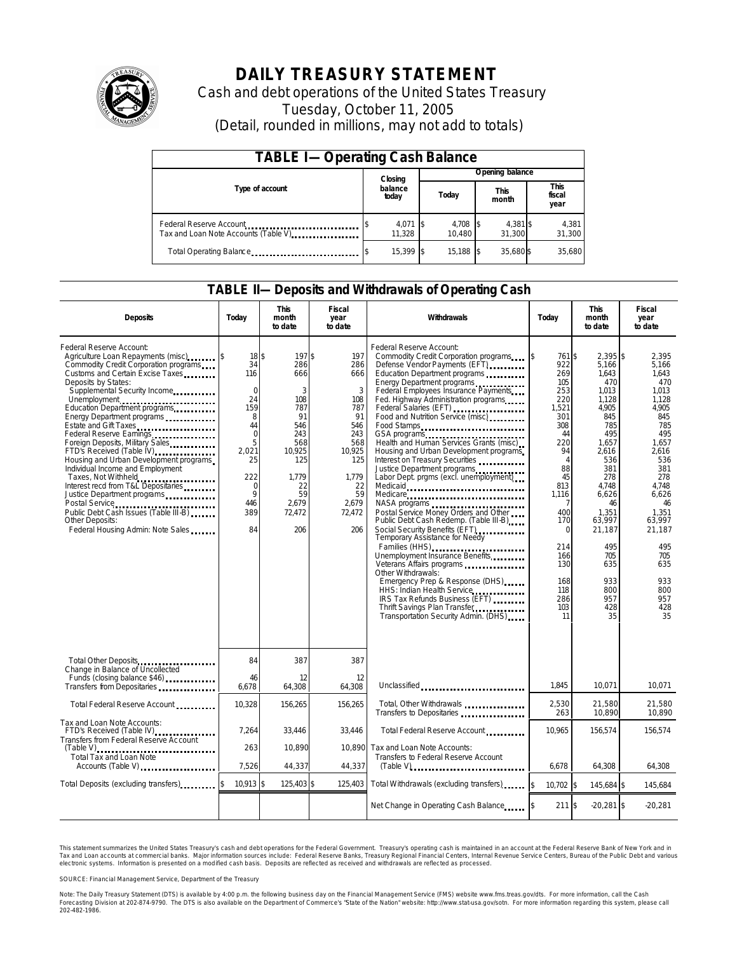

# **DAILY TREASURY STATEMENT**

Cash and debt operations of the United States Treasury Tuesday, October 11, 2005 (Detail, rounded in millions, may not add to totals)

| <b>TABLE I-Operating Cash Balance</b>                                              |                  |                    |  |                 |  |                      |  |                        |  |
|------------------------------------------------------------------------------------|------------------|--------------------|--|-----------------|--|----------------------|--|------------------------|--|
|                                                                                    |                  | Closing            |  | Opening balance |  |                      |  |                        |  |
| Type of account                                                                    | balance<br>today |                    |  | Today           |  | <b>This</b><br>month |  | This<br>fiscal<br>year |  |
| Federal Reserve Account<br>Tax and Loan Note Accounts (Table V). The manuscript of |                  | 4,071 \$<br>11.328 |  | 4,708<br>10.480 |  | 4,381 \$<br>31.300   |  | 4,381<br>31,300        |  |
| Total Operating Balance                                                            |                  | 15.399 \$          |  | 15.188          |  | 35.680\$             |  | 35.680                 |  |

### **TABLE II—Deposits and Withdrawals of Operating Cash**

| <b>Deposits</b>                                                                                                                                                                                                                                                                                                                                                                                                                                                                                                                                                                                                                                                                                                              | Today                                                                                                                            | <b>This</b><br>month<br>to date                                                                                                   | <b>Fiscal</b><br>year<br>to date                                                                                                | Withdrawals                                                                                                                                                                                                                                                                                                                                                                                                                                                                                                                                                                                                                                                                                                                                                                                                                                                                                                                                                                                | Today                                                                                                                                                                                                                          | <b>This</b><br>month<br>to date                                                                                                                                                                                                        | <b>Fiscal</b><br>year<br>to date                                                                                                                                                                                                  |
|------------------------------------------------------------------------------------------------------------------------------------------------------------------------------------------------------------------------------------------------------------------------------------------------------------------------------------------------------------------------------------------------------------------------------------------------------------------------------------------------------------------------------------------------------------------------------------------------------------------------------------------------------------------------------------------------------------------------------|----------------------------------------------------------------------------------------------------------------------------------|-----------------------------------------------------------------------------------------------------------------------------------|---------------------------------------------------------------------------------------------------------------------------------|--------------------------------------------------------------------------------------------------------------------------------------------------------------------------------------------------------------------------------------------------------------------------------------------------------------------------------------------------------------------------------------------------------------------------------------------------------------------------------------------------------------------------------------------------------------------------------------------------------------------------------------------------------------------------------------------------------------------------------------------------------------------------------------------------------------------------------------------------------------------------------------------------------------------------------------------------------------------------------------------|--------------------------------------------------------------------------------------------------------------------------------------------------------------------------------------------------------------------------------|----------------------------------------------------------------------------------------------------------------------------------------------------------------------------------------------------------------------------------------|-----------------------------------------------------------------------------------------------------------------------------------------------------------------------------------------------------------------------------------|
| Federal Reserve Account:<br>Agriculture Loan Repayments (misc)<br>Commodity Credit Corporation programs<br>Customs and Certain Excise Taxes<br>Deposits by States:<br>Supplemental Security Income<br>Unemployment<br>Education Department programs<br>Energy Department programs<br>Estate and Gift Taxes<br>Federal Reserve Earnings<br>Foreign Deposits, Military Sales<br>FTD's Received (Table IV) <b>FTD</b> 's Received (Table IV)<br>Housing and Urban Development programs<br>Individual Income and Employment<br>Taxes, Not Withheld<br>Interest recd from T&L Depositaries<br>Justice Department programs<br>Public Debt Cash Issues (Table III-B)<br><b>Other Deposits:</b><br>Federal Housing Admin: Note Sales | $18$ \$<br>34<br>116<br>$\Omega$<br>24<br>159<br>8<br>44<br>$\mathbf 0$<br>5<br>2,021<br>25<br>222<br>0<br>9<br>446<br>389<br>84 | 197\$<br>286<br>666<br>3<br>108<br>787<br>91<br>546<br>243<br>568<br>10,925<br>125<br>1.779<br>22<br>59<br>2.679<br>72.472<br>206 | 197<br>286<br>666<br>3<br>108<br>787<br>91<br>546<br>243<br>568<br>10,925<br>125<br>1,779<br>22<br>59<br>2.679<br>72,472<br>206 | Federal Reserve Account:<br>Commodity Credit Corporation programs<br>Defense Vendor Payments (EFT)<br>Education Department programs<br>Energy Department programs<br>Federal Employees Insurance Payments<br>Fed. Highway Administration programs<br>Federal Salaries (EFT)<br>Food and Nutrition Service (misc)<br>Food Stamps<br>GSA programs<br>Health and Human Services Grants (misc)<br>Housing and Urban Development programs<br>Interest on Treasury Securities<br>Justice Department programs<br>Labor Dept. prgms (excl. unemployment)<br>Medicare<br>NASA programs<br>Postal Service Money Orders and Other<br>Public Debt Cash Redemp. (Table III-B)<br>Social Security Benefits (EFT)<br>Temporary Assistance for Needy<br>Families (HHS)<br>Unemployment Insurance Benefits<br>Other Withdrawals:<br>Emergency Prep & Response (DHS)<br>HHS: Indian Health Service<br>IRS Tax Refunds Business (EFT)<br>Thrift Savings Plan Transfer<br>Transportation Security Admin. (DHS) | <b>S</b><br>761 \$<br>922<br>269<br>105<br>253<br>220<br>1,521<br>301<br>308<br>44<br>220<br>94<br>$\overline{A}$<br>88<br>45<br>813<br>1,116<br>400<br>170<br>$\Omega$<br>214<br>166<br>130<br>168<br>118<br>286<br>103<br>11 | $2.395$ \$<br>5.166<br>1,643<br>470<br>1,013<br>1.128<br>4,905<br>845<br>785<br>495<br>1,657<br>2,616<br>536<br>381<br>278<br>4.748<br>6,626<br>46<br>1.351<br>63.997<br>21.187<br>495<br>705<br>635<br>933<br>800<br>957<br>428<br>35 | 2.395<br>5.166<br>1.643<br>470<br>1.013<br>1.128<br>4,905<br>845<br>785<br>495<br>1.657<br>2,616<br>536<br>381<br>278<br>4.748<br>6.626<br>46<br>1.351<br>63.997<br>21.187<br>495<br>705<br>635<br>933<br>800<br>957<br>428<br>35 |
| Total Other Deposits                                                                                                                                                                                                                                                                                                                                                                                                                                                                                                                                                                                                                                                                                                         | 84                                                                                                                               | 387                                                                                                                               | 387                                                                                                                             |                                                                                                                                                                                                                                                                                                                                                                                                                                                                                                                                                                                                                                                                                                                                                                                                                                                                                                                                                                                            |                                                                                                                                                                                                                                |                                                                                                                                                                                                                                        |                                                                                                                                                                                                                                   |
| Change in Balance of Uncollected<br>Funds (closing balance \$46)                                                                                                                                                                                                                                                                                                                                                                                                                                                                                                                                                                                                                                                             | 46<br>6.678                                                                                                                      | 12<br>64,308                                                                                                                      | 12<br>64.308                                                                                                                    | Unclassified                                                                                                                                                                                                                                                                                                                                                                                                                                                                                                                                                                                                                                                                                                                                                                                                                                                                                                                                                                               | 1.845                                                                                                                                                                                                                          | 10.071                                                                                                                                                                                                                                 | 10.071                                                                                                                                                                                                                            |
| Total Federal Reserve Account                                                                                                                                                                                                                                                                                                                                                                                                                                                                                                                                                                                                                                                                                                | 10,328                                                                                                                           | 156,265                                                                                                                           | 156,265                                                                                                                         | Total, Other Withdrawals<br>Transfers to Depositaries                                                                                                                                                                                                                                                                                                                                                                                                                                                                                                                                                                                                                                                                                                                                                                                                                                                                                                                                      | 2,530<br>263                                                                                                                                                                                                                   | 21,580<br>10.890                                                                                                                                                                                                                       | 21,580<br>10.890                                                                                                                                                                                                                  |
| Tax and Loan Note Accounts:<br>FTD's Received (Table IV)<br>Transfers from Federal Reserve Account                                                                                                                                                                                                                                                                                                                                                                                                                                                                                                                                                                                                                           | 7,264                                                                                                                            | 33,446                                                                                                                            | 33,446                                                                                                                          | Total Federal Reserve Account                                                                                                                                                                                                                                                                                                                                                                                                                                                                                                                                                                                                                                                                                                                                                                                                                                                                                                                                                              | 10,965                                                                                                                                                                                                                         | 156,574                                                                                                                                                                                                                                | 156,574                                                                                                                                                                                                                           |
| $(Table V)$<br>Total Tax and Loan Note<br>Accounts (Table V)                                                                                                                                                                                                                                                                                                                                                                                                                                                                                                                                                                                                                                                                 | 263<br>7,526                                                                                                                     | 10,890<br>44,337                                                                                                                  | 10.890<br>44,337                                                                                                                | Tax and Loan Note Accounts:<br>Transfers to Federal Reserve Account<br>$(Table V)$ ,                                                                                                                                                                                                                                                                                                                                                                                                                                                                                                                                                                                                                                                                                                                                                                                                                                                                                                       | 6,678                                                                                                                                                                                                                          | 64,308                                                                                                                                                                                                                                 | 64,308                                                                                                                                                                                                                            |
| Total Deposits (excluding transfers)                                                                                                                                                                                                                                                                                                                                                                                                                                                                                                                                                                                                                                                                                         | 10,913 \$                                                                                                                        | 125,403 \$                                                                                                                        | 125,403                                                                                                                         | Total Withdrawals (excluding transfers)                                                                                                                                                                                                                                                                                                                                                                                                                                                                                                                                                                                                                                                                                                                                                                                                                                                                                                                                                    | 10,702 \$<br><sup>\$</sup>                                                                                                                                                                                                     | 145,684 \$                                                                                                                                                                                                                             | 145,684                                                                                                                                                                                                                           |
|                                                                                                                                                                                                                                                                                                                                                                                                                                                                                                                                                                                                                                                                                                                              |                                                                                                                                  |                                                                                                                                   |                                                                                                                                 | Net Change in Operating Cash Balance                                                                                                                                                                                                                                                                                                                                                                                                                                                                                                                                                                                                                                                                                                                                                                                                                                                                                                                                                       | 211S                                                                                                                                                                                                                           | $-20,281$ \$                                                                                                                                                                                                                           | $-20,281$                                                                                                                                                                                                                         |

This statement summarizes the United States Treasury's cash and debt operations for the Federal Government. Treasury's operating cash is maintained in an account at the Federal Reserve Bank of New York and in Tax and Loan accounts at commercial banks. Major information sources include: Federal Reserve Banks, Treasury Regional Financial Centers, Internal Revenue Service Centers, Bureau of the Public Debt and various<br>electronic s

SOURCE: Financial Management Service, Department of the Treasury

Note: The Daily Treasury Statement (DTS) is available by 4:00 p.m. the following business day on the Financial Management Service (FMS) website www.fms.treas.gov/dts.<br>Forecasting Division at 202-874-9790. The DTS is also a 'S) is available by 4:00 p.m. the following business day on the Financial Management Service (FMS) website www.fms.treas.gov/dts. For more information, call the Cash<br>The DTS is also available on the Department of Commerce'